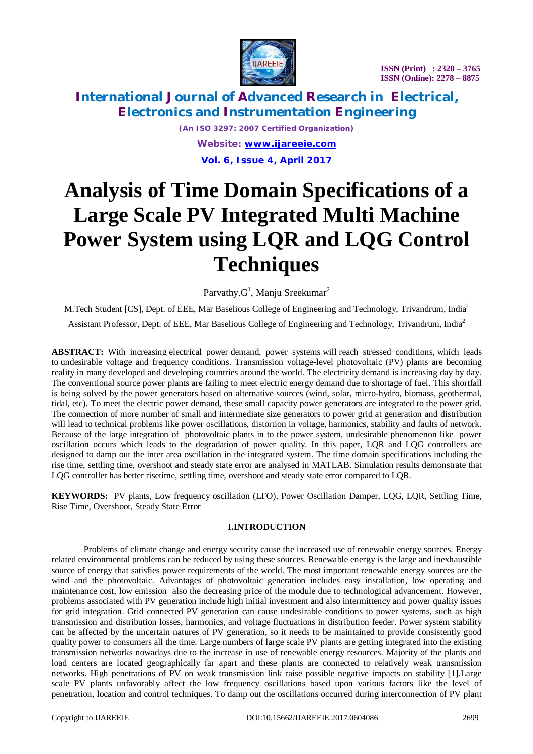

*(An ISO 3297: 2007 Certified Organization) Website: [www.ijareeie.com](http://www.ijareeie.com)* **Vol. 6, Issue 4, April 2017**

# **Analysis of Time Domain Specifications of a Large Scale PV Integrated Multi Machine Power System using LQR and LQG Control Techniques**

Parvathy. $G^1$ , Manju Sreekumar<sup>2</sup>

M.Tech Student [CS], Dept. of EEE, Mar Baselious College of Engineering and Technology, Trivandrum, India<sup>1</sup>

Assistant Professor, Dept. of EEE, Mar Baselious College of Engineering and Technology, Trivandrum, India<sup>2</sup>

**ABSTRACT:** With increasing electrical power demand, power systems will reach stressed conditions, which leads to undesirable voltage and frequency conditions. Transmission voltage-level photovoltaic (PV) plants are becoming reality in many developed and developing countries around the world. The electricity demand is increasing day by day. The conventional source power plants are failing to meet electric energy demand due to shortage of fuel. This shortfall is being solved by the power generators based on alternative sources (wind, solar, micro-hydro, biomass, geothermal, tidal, etc). To meet the electric power demand, these small capacity power generators are integrated to the power grid. The connection of more number of small and intermediate size generators to power grid at generation and distribution will lead to technical problems like power oscillations, distortion in voltage, harmonics, stability and faults of network. Because of the large integration of photovoltaic plants in to the power system, undesirable phenomenon like power oscillation occurs which leads to the degradation of power quality. In this paper, LQR and LQG controllers are designed to damp out the inter area oscillation in the integrated system. The time domain specifications including the rise time, settling time, overshoot and steady state error are analysed in MATLAB. Simulation results demonstrate that LQG controller has better risetime, settling time, overshoot and steady state error compared to LQR.

**KEYWORDS:** PV plants, Low frequency oscillation (LFO), Power Oscillation Damper, LQG, LQR, Settling Time, Rise Time, Overshoot, Steady State Error

#### **I.INTRODUCTION**

Problems of climate change and energy security cause the increased use of renewable energy sources. Energy related environmental problems can be reduced by using these sources. Renewable energy is the large and inexhaustible source of energy that satisfies power requirements of the world. The most important renewable energy sources are the wind and the photovoltaic. Advantages of photovoltaic generation includes easy installation, low operating and maintenance cost, low emission also the decreasing price of the module due to technological advancement. However, problems associated with PV generation include high initial investment and also intermittency and power quality issues for grid integration. Grid connected PV generation can cause undesirable conditions to power systems, such as high transmission and distribution losses, harmonics, and voltage fluctuations in distribution feeder. Power system stability can be affected by the uncertain natures of PV generation, so it needs to be maintained to provide consistently good quality power to consumers all the time. Large numbers of large scale PV plants are getting integrated into the existing transmission networks nowadays due to the increase in use of renewable energy resources. Majority of the plants and load centers are located geographically far apart and these plants are connected to relatively weak transmission networks. High penetrations of PV on weak transmission link raise possible negative impacts on stability [1].Large scale PV plants unfavorably affect the low frequency oscillations based upon various factors like the level of penetration, location and control techniques. To damp out the oscillations occurred during interconnection of PV plant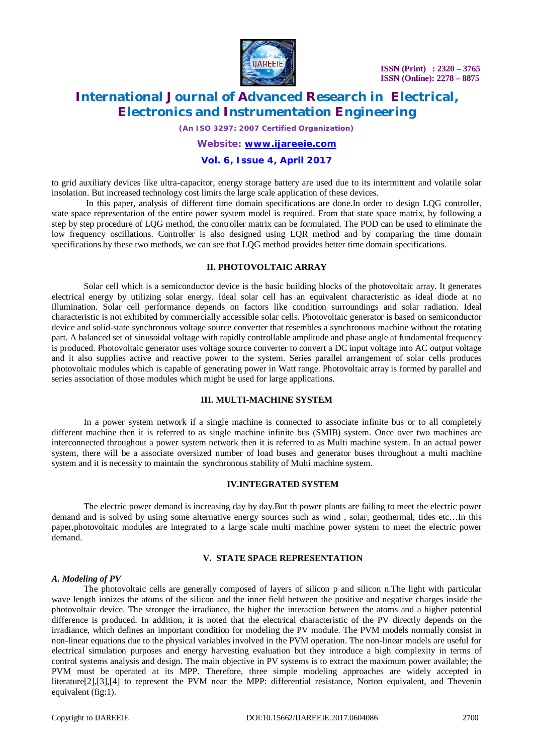

 **ISSN (Print) : 2320 – 3765 ISSN (Online): 2278 – 8875**

### **International Journal of Advanced Research in Electrical, Electronics and Instrumentation Engineering**

*(An ISO 3297: 2007 Certified Organization)*

### *Website: [www.ijareeie.com](http://www.ijareeie.com)* **Vol. 6, Issue 4, April 2017**

to grid auxiliary devices like ultra-capacitor, energy storage battery are used due to its intermittent and volatile solar insolation. But increased technology cost limits the large scale application of these devices.

In this paper, analysis of different time domain specifications are done.In order to design LQG controller, state space representation of the entire power system model is required. From that state space matrix, by following a step by step procedure of LQG method, the controller matrix can be formulated. The POD can be used to eliminate the low frequency oscillations. Controller is also designed using LQR method and by comparing the time domain specifications by these two methods, we can see that LQG method provides better time domain specifications.

#### **II. PHOTOVOLTAIC ARRAY**

Solar cell which is a semiconductor device is the basic building blocks of the photovoltaic array. It generates electrical energy by utilizing solar energy. Ideal solar cell has an equivalent characteristic as ideal diode at no illumination. Solar cell performance depends on factors like condition surroundings and solar radiation. Ideal characteristic is not exhibited by commercially accessible solar cells. Photovoltaic generator is based on semiconductor device and solid-state synchronous voltage source converter that resembles a synchronous machine without the rotating part. A balanced set of sinusoidal voltage with rapidly controllable amplitude and phase angle at fundamental frequency is produced. Photovoltaic generator uses voltage source converter to convert a DC input voltage into AC output voltage and it also supplies active and reactive power to the system. Series parallel arrangement of solar cells produces photovoltaic modules which is capable of generating power in Watt range. Photovoltaic array is formed by parallel and series association of those modules which might be used for large applications.

#### **III. MULTI-MACHINE SYSTEM**

In a power system network if a single machine is connected to associate infinite bus or to all completely different machine then it is referred to as single machine infinite bus (SMIB) system. Once over two machines are interconnected throughout a power system network then it is referred to as Multi machine system. In an actual power system, there will be a associate oversized number of load buses and generator buses throughout a multi machine system and it is necessity to maintain the synchronous stability of Multi machine system.

#### **IV.INTEGRATED SYSTEM**

The electric power demand is increasing day by day.But th power plants are failing to meet the electric power demand and is solved by using some alternative energy sources such as wind , solar, geothermal, tides etc…In this paper,photovoltaic modules are integrated to a large scale multi machine power system to meet the electric power demand.

#### **V. STATE SPACE REPRESENTATION**

#### *A. Modeling of PV*

The photovoltaic cells are generally composed of layers of silicon p and silicon n.The light with particular wave length ionizes the atoms of the silicon and the inner field between the positive and negative charges inside the photovoltaic device. The stronger the irradiance, the higher the interaction between the atoms and a higher potential difference is produced. In addition, it is noted that the electrical characteristic of the PV directly depends on the irradiance, which defines an important condition for modeling the PV module. The PVM models normally consist in non-linear equations due to the physical variables involved in the PVM operation. The non-linear models are useful for electrical simulation purposes and energy harvesting evaluation but they introduce a high complexity in terms of control systems analysis and design. The main objective in PV systems is to extract the maximum power available; the PVM must be operated at its MPP. Therefore, three simple modeling approaches are widely accepted in literature[2],[3],[4] to represent the PVM near the MPP: differential resistance, Norton equivalent, and Thevenin equivalent (fig:1).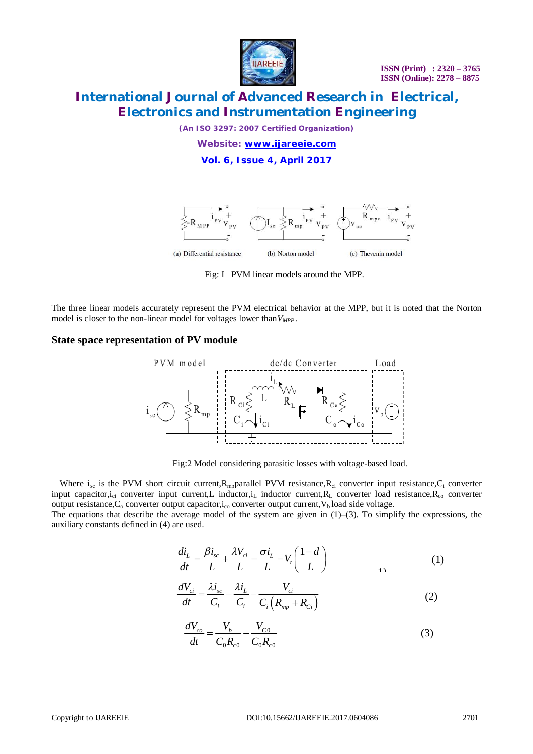

*(An ISO 3297: 2007 Certified Organization)*

*Website: [www.ijareeie.com](http://www.ijareeie.com)* **Vol. 6, Issue 4, April 2017**



Fig: I PVM linear models around the MPP.

The three linear models accurately represent the PVM electrical behavior at the MPP, but it is noted that the Norton model is closer to the non-linear model for voltages lower than  $V_{MPP}$ .

#### **State space representation of PV module**



Fig:2 Model considering parasitic losses with voltage-based load.

Where  $i_{sc}$  is the PVM short circuit current,  $R_{mp}$  parallel PVM resistance,  $R_{ci}$  converter input resistance,  $C_i$  converter input capacitor, $i_{ci}$  converter input current,L inductor, $i_L$  inductor current, $R_L$  converter load resistance, $R_{co}$  converter output resistance,  $C_0$  converter output capacitor,  $i_{\rm co}$  converter output current,  $V_b$  load side voltage.

The equations that describe the average model of the system are given in  $(1)$ – $(3)$ . To simplify the expressions, the auxiliary constants defined in (4) are used.

$$
\frac{di_L}{dt} = \frac{\beta i_{sc}}{L} + \frac{\lambda V_{ci}}{L} - \frac{\sigma i_L}{L} - V_t \left(\frac{1-d}{L}\right)
$$
\n(1)

$$
\frac{dV_{ci}}{dt} = \frac{\lambda i_{sc}}{C_i} - \frac{\lambda i_L}{C_i} - \frac{V_{ci}}{C_i \left(R_{mp} + R_{Ci}\right)}
$$
(2)

$$
\frac{dV_{co}}{dt} = \frac{V_b}{C_0 R_{c0}} - \frac{V_{C0}}{C_0 R_{c0}}
$$
(3)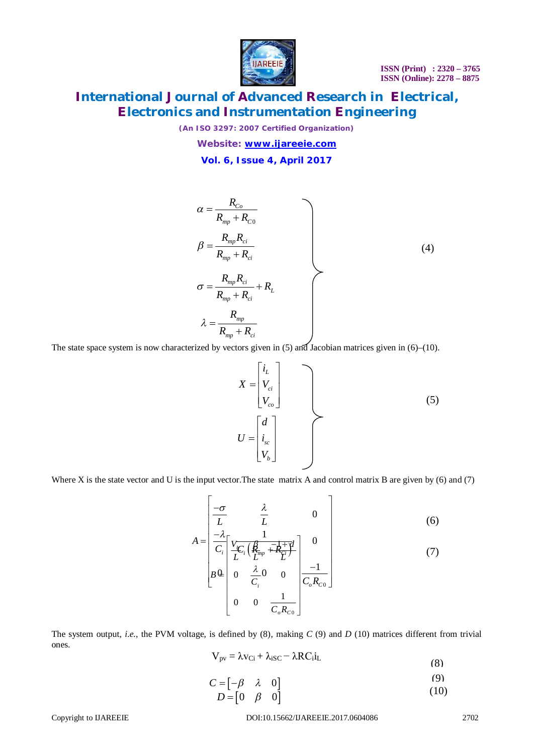

*(An ISO 3297: 2007 Certified Organization)*

*Website: [www.ijareeie.com](http://www.ijareeie.com)* **Vol. 6, Issue 4, April 2017**

$$
\alpha = \frac{R_{Co}}{R_{mp} + R_{co}}
$$
\n
$$
\beta = \frac{R_{mp}R_{ci}}{R_{mp} + R_{ci}}
$$
\n
$$
\sigma = \frac{R_{mp}R_{ci}}{R_{mp} + R_{ci}} + R_{L}
$$
\n
$$
\lambda = \frac{R_{mp}}{R_{mp} + R_{ci}}
$$
\n(4)

The state space system is now characterized by vectors given in (5) and Jacobian matrices given in (6)–(10).

*L ci co i*  $X = |V_c|$ *V*  $\mid i_{L} \mid$  $=\left|V_{ci}\right|$  $\left[ V_{co} \right]$ *sc b d*  $U = |i_{sc}|$ *V*  $|d|$  $=\left| i_{sc} \right|$  $\lfloor V_{\scriptscriptstyle b}\rfloor$ (5)

Where X is the state vector and U is the input vector. The state matrix A and control matrix B are given by (6) and (7)

$$
A = \begin{bmatrix} -\sigma & \lambda & 0\\ \frac{-\lambda}{L} & \frac{1}{L} & 0\\ \frac{-\lambda}{C_i} & \frac{V_C}{L'} \left(\frac{B}{L^{mp}} + \frac{1}{R_i}\right) & 0\\ B\Phi & 0 & \frac{\lambda}{C_i} & 0\\ 0 & 0 & \frac{1}{C_oR_{co}} \end{bmatrix}
$$
(6)

The system output, *i.e.*, the PVM voltage, is defined by (8), making *C* (9) and *D* (10) matrices different from trivial ones.

$$
V_{pv} = \lambda v_{Ci} + \lambda_{iSC} - \lambda RC_i i_L
$$
\n(8)

$$
C = \begin{bmatrix} -\beta & \lambda & 0 \end{bmatrix}
$$
 (9)

$$
D = \begin{bmatrix} 0 & \beta & 0 \end{bmatrix} \tag{10}
$$

Copyright to IJAREEIE DOI:10.15662/IJAREEIE.2017.0604086 2702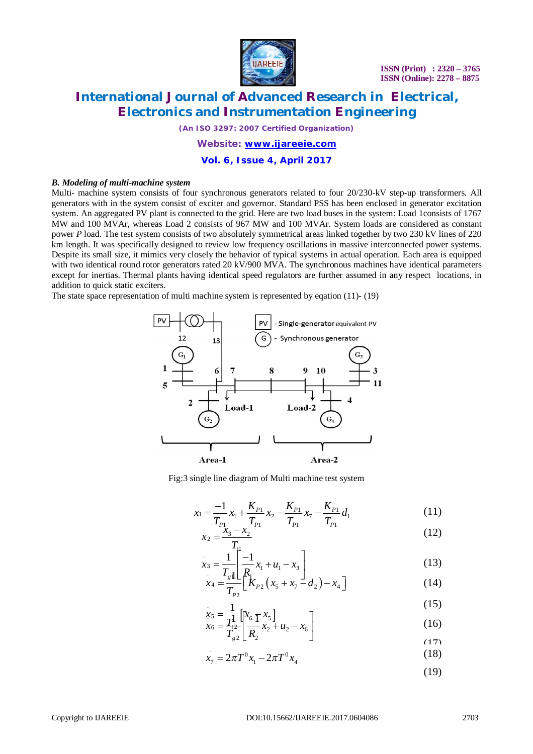

*(An ISO 3297: 2007 Certified Organization)*

*Website: [www.ijareeie.com](http://www.ijareeie.com)* **Vol. 6, Issue 4, April 2017**

#### *B. Modeling of multi-machine system*

Multi- machine system consists of four synchronous generators related to four 20/230-kV step-up transformers. All generators with in the system consist of exciter and governor. Standard PSS has been enclosed in generator excitation system. An aggregated PV plant is connected to the grid. Here are two load buses in the system: Load 1 consists of 1767 MW and 100 MVAr, whereas Load 2 consists of 967 MW and 100 MVAr. System loads are considered as constant power *P* load. The test system consists of two absolutely symmetrical areas linked together by two 230 kV lines of 220 km length. It was specifically designed to review low frequency oscillations in massive interconnected power systems. Despite its small size, it mimics very closely the behavior of typical systems in actual operation. Each area is equipped with two identical round rotor generators rated 20 kV/900 MVA. The synchronous machines have identical parameters except for inertias. Thermal plants having identical speed regulators are further assumed in any respect locations, in addition to quick static exciters.

The state space representation of multi machine system is represented by eqation (11)- (19)



Fig:3 single line diagram of Multi machine test system

$$
x_1 = \frac{-1}{T_{P_1}} x_1 + \frac{K_{P_1}}{T_{P_1}} x_2 - \frac{K_{P_1}}{T_{P_1}} x_7 - \frac{K_{P_1}}{T_{P_1}} d_1
$$
(11)

$$
x_2 = \frac{x_3 - x_2}{T_4} \tag{12}
$$

$$
x_3 = \frac{1}{T_s} \left[ \frac{-1}{R_1} x_1 + u_1 - x_3 \right]
$$
  
\n
$$
x_4 = \frac{1}{T_s} \left[ \frac{1}{R_1} x_2 (x_5 + x_7 - d_2) - x_4 \right]
$$
\n(13)

$$
x_4 = \frac{I_s 1}{T_{P2}} \left[ \frac{K_1}{K_{P2}} \left( x_5 + x_7 - d_2 \right) - x_4 \right]
$$
 (14)

$$
r_{\epsilon} = \frac{1}{\sqrt{2}} [r_{\epsilon} - r_{\epsilon}]
$$
 (15)

$$
\begin{aligned}\nx_5 &= \frac{1}{T_{12}} \left[ x_6 \frac{x_5}{T_{22}} \right] \\
x_6 &= \frac{1}{T_{22}} \left[ \frac{x_6}{R_2} \right] x_2 + u_2 - x_6\n\end{aligned} \tag{16}
$$

- $\sigma = 2\pi T^0 x 2\pi T^0$  $x_7 = 2\pi T^0 x_1 - 2\pi T^0 x_4$ (18)
	- (19)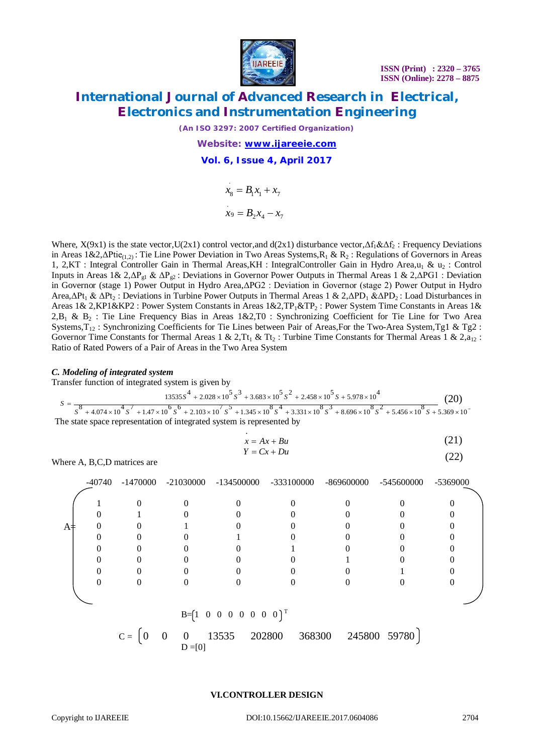

*(An ISO 3297: 2007 Certified Organization)*

*Website: [www.ijareeie.com](http://www.ijareeie.com)* **Vol. 6, Issue 4, April 2017**

$$
x_8 = B_1 x_1 + x_7
$$
  

$$
x_9 = B_2 x_4 - x_7
$$

Where,  $X(9x1)$  is the state vector, $U(2x1)$  control vector,and  $d(2x1)$  disturbance vector, $\Delta f_1 \& \Delta f_2$ : Frequency Deviations in Areas  $1\&2,\Delta \text{Ptie}_{(1,2)}$ : Tie Line Power Deviation in Two Areas Systems,  $R_1 \& R_2$ : Regulations of Governors in Areas 1, 2,KT : Integral Controller Gain in Thermal Areas,KH : IntegralController Gain in Hydro Area,u<sub>1</sub> & u<sub>2</sub> : Control Inputs in Areas 1& 2,ΔPg1 & ΔPg2 : Deviations in Governor Power Outputs in Thermal Areas 1 & 2,ΔPG1 : Deviation in Governor (stage 1) Power Output in Hydro Area,ΔPG2 : Deviation in Governor (stage 2) Power Output in Hydro Area,ΔPt<sub>1</sub> & ΔPt<sub>2</sub>: Deviations in Turbine Power Outputs in Thermal Areas 1 & 2,ΔPD<sub>1</sub> &ΔPD<sub>2</sub>: Load Disturbances in Areas 1& 2, KP1&KP2 : Power System Constants in Areas 1&2, TP<sub>1</sub>&TP<sub>2</sub> : Power System Time Constants in Areas 1&  $2,B_1 \& B_2$ : Tie Line Frequency Bias in Areas 1&2,T0 : Synchronizing Coefficient for Tie Line for Two Area Systems,  $T_{12}$ : Synchronizing Coefficients for Tie Lines between Pair of Areas, For the Two-Area System, Tg1 & Tg2 : Governor Time Constants for Thermal Areas 1 & 2,  $Tt_1$  &  $Tt_2$ : Turbine Time Constants for Thermal Areas 1 & 2, $a_{12}$ : Ratio of Rated Powers of a Pair of Areas in the Two Area System

#### *C. Modeling of integrated system*

Transfer function of integrated system is given by

$$
S = \frac{13535S^{4} + 2.028 \times 10^{5} S^{3} + 3.683 \times 10^{5} S^{2} + 2.458 \times 10^{5} S + 5.978 \times 10^{4}}{S^{3} + 4.074 \times 10^{4} S^{7} + 1.47 \times 10^{6} S^{6} + 2.103 \times 10^{7} S^{5} + 1.345 \times 10^{8} S^{4} + 3.331 \times 10^{8} S^{3} + 8.696 \times 10^{8} S^{2} + 5.456 \times 10^{8} S + 5.369 \times 10^{5} S^{2} + 5.456 \times 10^{8} S^{4} + 5.369 \times 10^{5} S^{4} + 5.369 \times 10^{5} S^{4} + 5.369 \times 10^{5} S^{4} + 5.369 \times 10^{5} S^{4} + 5.369 \times 10^{5} S^{4} + 5.369 \times 10^{5} S^{4} + 5.369 \times 10^{5} S^{4} + 5.369 \times 10^{5} S^{4} + 5.369 \times 10^{5} S^{4} + 5.369 \times 10^{5} S^{4} + 5.369 \times 10^{5} S^{4} + 5.369 \times 10^{5} S^{4} + 5.369 \times 10^{5} S^{4} + 5.369 \times 10^{5} S^{4} + 5.369 \times 10^{5} S^{4} + 5.369 \times 10^{5} S^{4} + 5.369 \times 10^{5} S^{4} + 5.369 \times 10^{5} S^{4} + 5.369 \times 10^{5} S^{4} + 5.369 \times 10^{5} S^{4} + 5.369 \times 10^{5} S^{4} + 5.369 \times 10^{5} S^{4} + 5.369 \times 10^{5} S^{4} + 5.369 \times 10^{5} S^{4} + 5.369 \times 10^{5} S^{4} + 5.369 \times 10^{5} S^{4} + 5.369 \times
$$

$$
x = Ax + Bu \tag{21}
$$

$$
Y = Cx + Du \tag{22}
$$

Where A, B,C,D matrices are

|       | -40740                                |       |                            | $-1470000$ $-21030000$ $-134500000$ $-333100000$ |        | -869600000 | -545600000   | -5369000 |
|-------|---------------------------------------|-------|----------------------------|--------------------------------------------------|--------|------------|--------------|----------|
| $A =$ |                                       |       |                            |                                                  |        |            |              |          |
|       |                                       |       |                            |                                                  |        |            |              |          |
|       |                                       |       |                            |                                                  |        |            |              |          |
|       |                                       |       |                            |                                                  |        |            |              |          |
|       |                                       |       |                            |                                                  |        |            |              |          |
|       |                                       |       |                            |                                                  |        |            |              |          |
|       |                                       |       |                            |                                                  |        |            |              |          |
|       | $B=[1 \ 0 \ 0 \ 0 \ 0 \ 0 \ 0 \ 0]^T$ |       |                            |                                                  |        |            |              |          |
|       |                                       | $C =$ | $\overline{0}$<br>$\theta$ | 202800<br>13535                                  | 368300 |            | 245800 59780 |          |

 $\begin{bmatrix} 0 & 0 & 0 \\ 0 & 0 & 0 \\ 0 & 0 & 0 \end{bmatrix}$ 

**VI.CONTROLLER DESIGN**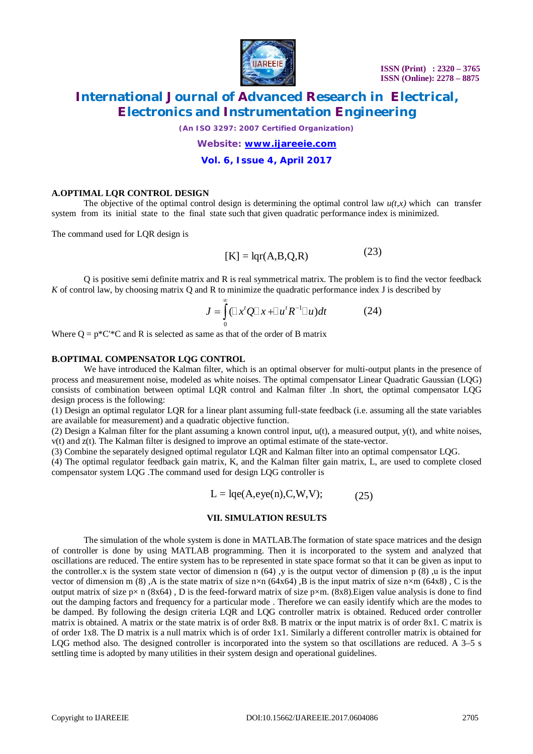

 **ISSN (Print) : 2320 – 3765 ISSN (Online): 2278 – 8875**

### **International Journal of Advanced Research in Electrical, Electronics and Instrumentation Engineering**

*(An ISO 3297: 2007 Certified Organization)*

*Website: [www.ijareeie.com](http://www.ijareeie.com)* **Vol. 6, Issue 4, April 2017**

#### **A.OPTIMAL LQR CONTROL DESIGN**

The objective of the optimal control design is determining the optimal control law  $u(t,x)$  which can transfer system from its initial state to the final state such that given quadratic performance index is minimized.

The command used for LQR design is

$$
[K] = \text{lqr}(A, B, Q, R) \tag{23}
$$

Q is positive semi definite matrix and R is real symmetrical matrix. The problem is to find the vector feedback *K* of control law, by choosing matrix Q and R to minimize the quadratic performance index J is described by

$$
J = \int_{0}^{\infty} (\Box x^{t} Q \Box x + \Box u^{t} R^{-1} \Box u) dt
$$
 (24)

Where  $Q = p^*C^{*}C$  and R is selected as same as that of the order of B matrix

#### **B.OPTIMAL COMPENSATOR LQG CONTROL**

We have introduced the Kalman filter, which is an optimal observer for multi-output plants in the presence of process and measurement noise, modeled as white noises. The optimal compensator Linear Quadratic Gaussian (LQG) consists of combination between optimal LQR control and Kalman filter .In short, the optimal compensator LQG design process is the following:

(1) Design an optimal regulator LQR for a linear plant assuming full-state feedback (i.e. assuming all the state variables are available for measurement) and a quadratic objective function.

(2) Design a Kalman filter for the plant assuming a known control input,  $u(t)$ , a measured output,  $v(t)$ , and white noises, v(t) and z(t). The Kalman filter is designed to improve an optimal estimate of the state-vector.

(3) Combine the separately designed optimal regulator LQR and Kalman filter into an optimal compensator LQG.

(4) The optimal regulator feedback gain matrix, K, and the Kalman filter gain matrix, L, are used to complete closed compensator system LQG .The command used for design LQG controller is

$$
L = lqe(A, eye(n), C, W, V); \qquad (25)
$$

#### **VII. SIMULATION RESULTS**

The simulation of the whole system is done in MATLAB.The formation of state space matrices and the design of controller is done by using MATLAB programming. Then it is incorporated to the system and analyzed that oscillations are reduced. The entire system has to be represented in state space format so that it can be given as input to the controller.x is the system state vector of dimension n  $(64)$ , y is the output vector of dimension p  $(8)$ , u is the input vector of dimension m (8), A is the state matrix of size n×n (64x64), B is the input matrix of size n×m (64x8), C is the output matrix of size  $p \times n$  (8x64), D is the feed-forward matrix of size  $p \times m$ . (8x8). Eigen value analysis is done to find out the damping factors and frequency for a particular mode . Therefore we can easily identify which are the modes to be damped. By following the design criteria LQR and LQG controller matrix is obtained. Reduced order controller matrix is obtained. A matrix or the state matrix is of order 8x8. B matrix or the input matrix is of order 8x1. C matrix is of order 1x8. The D matrix is a null matrix which is of order 1x1. Similarly a different controller matrix is obtained for LOG method also. The designed controller is incorporated into the system so that oscillations are reduced. A 3–5 s settling time is adopted by many utilities in their system design and operational guidelines.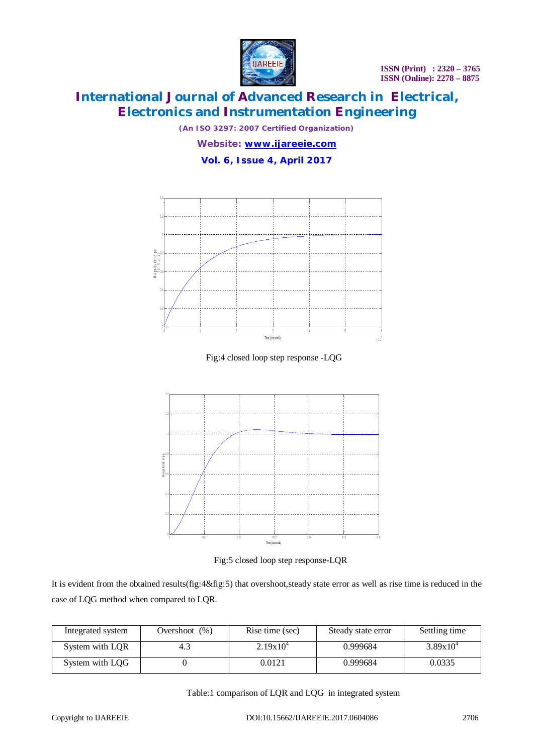

*(An ISO 3297: 2007 Certified Organization)*

*Website: [www.ijareeie.com](http://www.ijareeie.com)* **Vol. 6, Issue 4, April 2017**



Fig:4 closed loop step response -LQG



Fig:5 closed loop step response-LQR

It is evident from the obtained results(fig:4&fig:5) that overshoot,steady state error as well as rise time is reduced in the case of LQG method when compared to LQR.

| Integrated system | Overshoot $(\%)$ | Rise time (sec) | Steady state error | Settling time |
|-------------------|------------------|-----------------|--------------------|---------------|
| System with LQR   |                  | $2.19x10^{4}$   | 0.999684           | $3.89x10^{4}$ |
| System with LOG   |                  | 0.0121          | 0.999684           | 0.0335        |

Table:1 comparison of LQR and LQG in integrated system